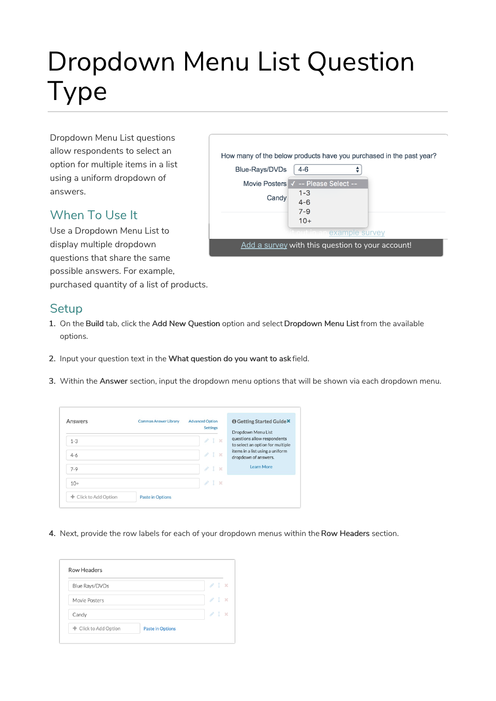# Dropdown Menu List Question Type

Dropdown Menu List questions allow respondents to select an option for multiple items in a list using a uniform dropdown of answers.

### When To Use It

Use a Dropdown Menu List to display multiple dropdown questions that share the same possible answers. For example,

purchased quantity of a list of products.

#### **Setup**

- 1. On the Build tab, click the Add New Question option and select Dropdown Menu List from the available options.
- 2. Input your question text in the What question do you want to ask field.
- 3. Within the Answer section, input the dropdown menu options that will be shown via each dropdown menu.

| Answers               | <b>Common Answer Library</b> | <b>Advanced Option</b><br><b>Settings</b> | <b>O</b> Getting Started Guide <sup>X</sup><br>Dropdown Menu List |
|-----------------------|------------------------------|-------------------------------------------|-------------------------------------------------------------------|
| $1 - 3$               |                              | /1 x                                      | questions allow respondents<br>to select an option for multiple   |
| $4 - 6$               |                              | I x<br>8                                  | items in a list using a uniform<br>dropdown of answers.           |
| $7-9$                 |                              | 41x                                       | <b>Learn More</b>                                                 |
| $10+$                 |                              | 21x                                       |                                                                   |
| + Click to Add Option | <b>Paste in Options</b>      |                                           |                                                                   |

4. Next, provide the row labels for each of your dropdown menus within the Row Headers section.

| Blue Rays/DVDs | $\ell$ 1<br>$\mathbf{x}$         |
|----------------|----------------------------------|
| Movie Posters  | $\ell$ 1 $\times$                |
| Candy          | $\mathcal{P}$ 1<br>$\mathcal{R}$ |

|                |                                                  | How many of the below products have you purchased in the past year? |
|----------------|--------------------------------------------------|---------------------------------------------------------------------|
| Blue-Rays/DVDs | $4-6$                                            |                                                                     |
|                | Movie Posters V -- Please Select --              |                                                                     |
|                | $1 - 3$                                          |                                                                     |
| Candy          | $4 - 6$                                          |                                                                     |
|                | $7 - 9$                                          |                                                                     |
|                | $10+$                                            |                                                                     |
|                | t out in an example survey                       |                                                                     |
|                | Add a survey with this question to your account! |                                                                     |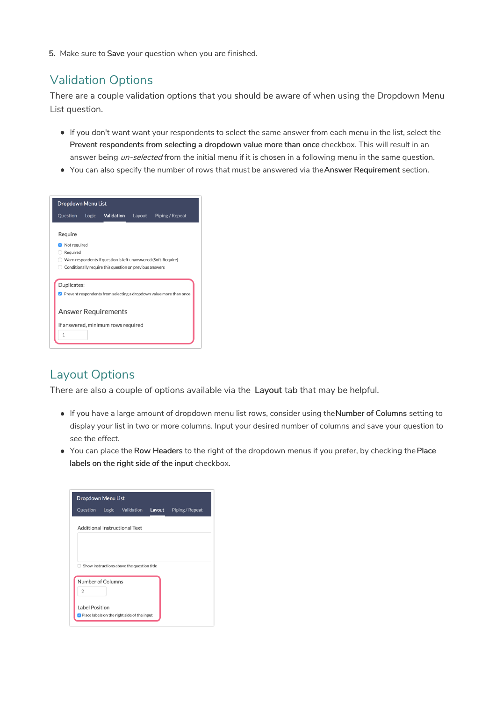5. Make sure to Save your question when you are finished.

# Validation Options

There are a couple validation options that you should be aware of when using the Dropdown Menu List question.

- If you don't want want your respondents to select the same answer from each menu in the list, select the Prevent respondents from selecting a dropdown value more than once checkbox. This will result in an answer being un-selected from the initial menu if it is chosen in a following menu in the same question.
- You can also specify the number of rows that must be answered via the Answer Requirement section.

| <b>Dropdown Menu List</b> |                                                         |        |                                                                                    |
|---------------------------|---------------------------------------------------------|--------|------------------------------------------------------------------------------------|
| Question                  | Logic Validation                                        | Layout | Piping / Repeat                                                                    |
| Require                   |                                                         |        |                                                                                    |
|                           |                                                         |        |                                                                                    |
| Not required              |                                                         |        |                                                                                    |
| Required                  |                                                         |        |                                                                                    |
|                           |                                                         |        |                                                                                    |
|                           |                                                         |        | Warn respondents if question is left unanswered (Soft-Require)                     |
|                           | Conditionally require this question on previous answers |        |                                                                                    |
|                           |                                                         |        |                                                                                    |
| Duplicates:               |                                                         |        |                                                                                    |
|                           |                                                         |        | $\triangledown$ Prevent respondents from selecting a dropdown value more than once |
|                           |                                                         |        |                                                                                    |
|                           |                                                         |        |                                                                                    |
|                           | <b>Answer Requirements</b>                              |        |                                                                                    |
|                           | If answered, minimum rows required                      |        |                                                                                    |
| $\mathbf{1}$              |                                                         |        |                                                                                    |

#### Layout Options

There are also a couple of options available via the Layout tab that may be helpful.

- If you have a large amount of dropdown menu list rows, consider using theNumber of Columns setting to display your list in two or more columns. Input your desired number of columns and save your question to see the effect.
- You can place the Row Headers to the right of the dropdown menus if you prefer, by checking the Place labels on the right side of the input checkbox.

| <b>Dropdown Menu List</b> |  |                                               |        |                 |  |  |  |
|---------------------------|--|-----------------------------------------------|--------|-----------------|--|--|--|
| Question                  |  | Logic Validation                              | Layout | Piping / Repeat |  |  |  |
|                           |  | Additional Instructional Text                 |        |                 |  |  |  |
|                           |  |                                               |        |                 |  |  |  |
|                           |  |                                               |        |                 |  |  |  |
|                           |  | Show instructions above the question title    |        |                 |  |  |  |
| Number of Columns         |  |                                               |        |                 |  |  |  |
| $\overline{2}$            |  |                                               |        |                 |  |  |  |
| Label Position            |  |                                               |        |                 |  |  |  |
|                           |  | √ Place labels on the right side of the input |        |                 |  |  |  |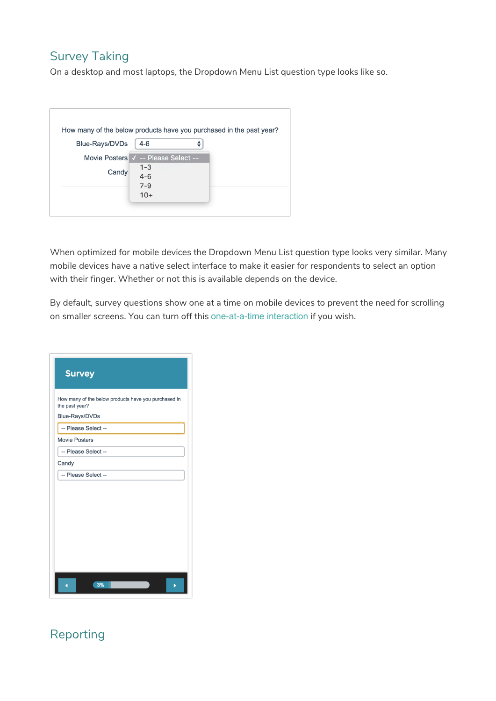#### Survey Taking

On a desktop and most laptops, the Dropdown Menu List question type looks like so.

| How many of the below products have you purchased in the past year? |         |  |  |  |
|---------------------------------------------------------------------|---------|--|--|--|
| Blue-Rays/DVDs                                                      | $4-6$   |  |  |  |
| Movie Posters V -- Please Select --                                 |         |  |  |  |
|                                                                     | $1 - 3$ |  |  |  |
| Candy                                                               | $4 - 6$ |  |  |  |
|                                                                     | $7 - 9$ |  |  |  |
|                                                                     | $10+$   |  |  |  |
|                                                                     |         |  |  |  |

When optimized for mobile devices the Dropdown Menu List question type looks very similar. Many mobile devices have a native select interface to make it easier for respondents to select an option with their finger. Whether or not this is available depends on the device.

By default, survey questions show one at a time on mobile devices to prevent the need for scrolling on smaller screens. You can turn off this one-at-a-time interaction if you wish.

| <b>Survey</b>                                                          |
|------------------------------------------------------------------------|
| How many of the below products have you purchased in<br>the past year? |
| Blue-Rays/DVDs                                                         |
| -- Please Select --                                                    |
| <b>Movie Posters</b>                                                   |
| -- Please Select --                                                    |
| Candy                                                                  |
| -- Please Select --                                                    |
|                                                                        |
| 3%                                                                     |

# Reporting